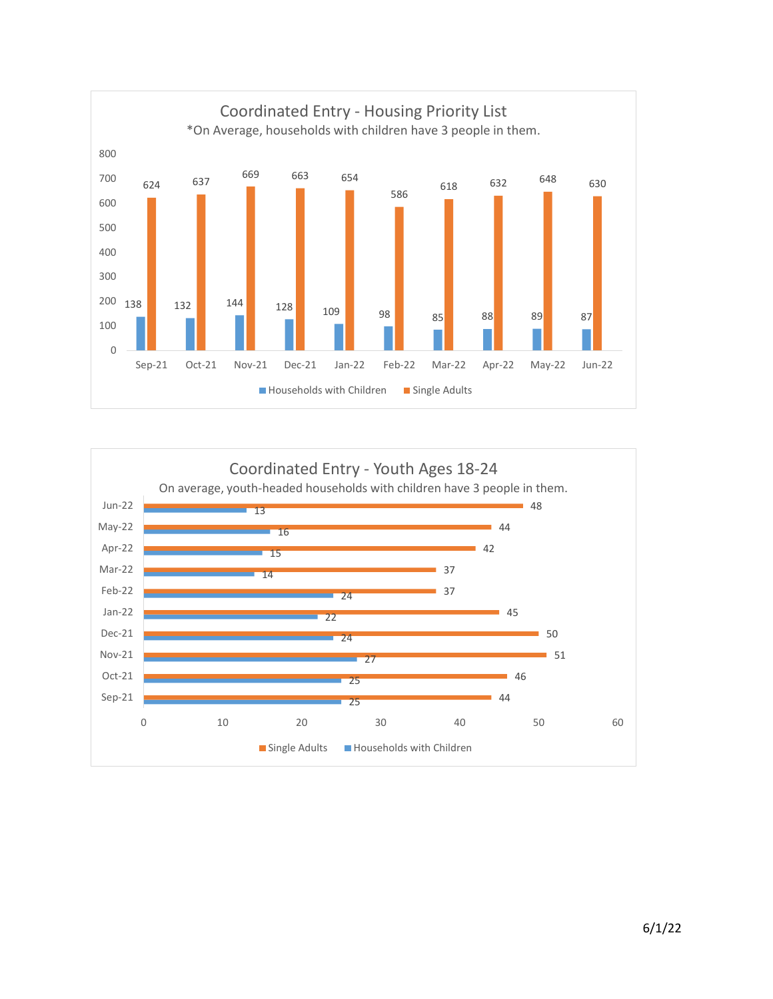

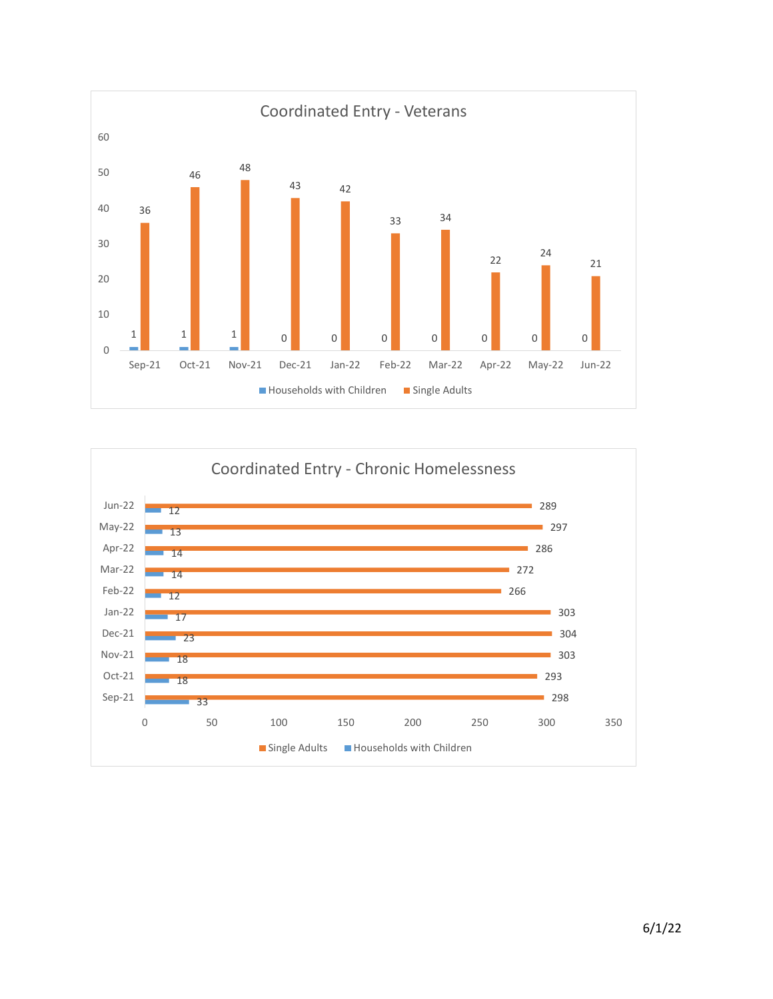

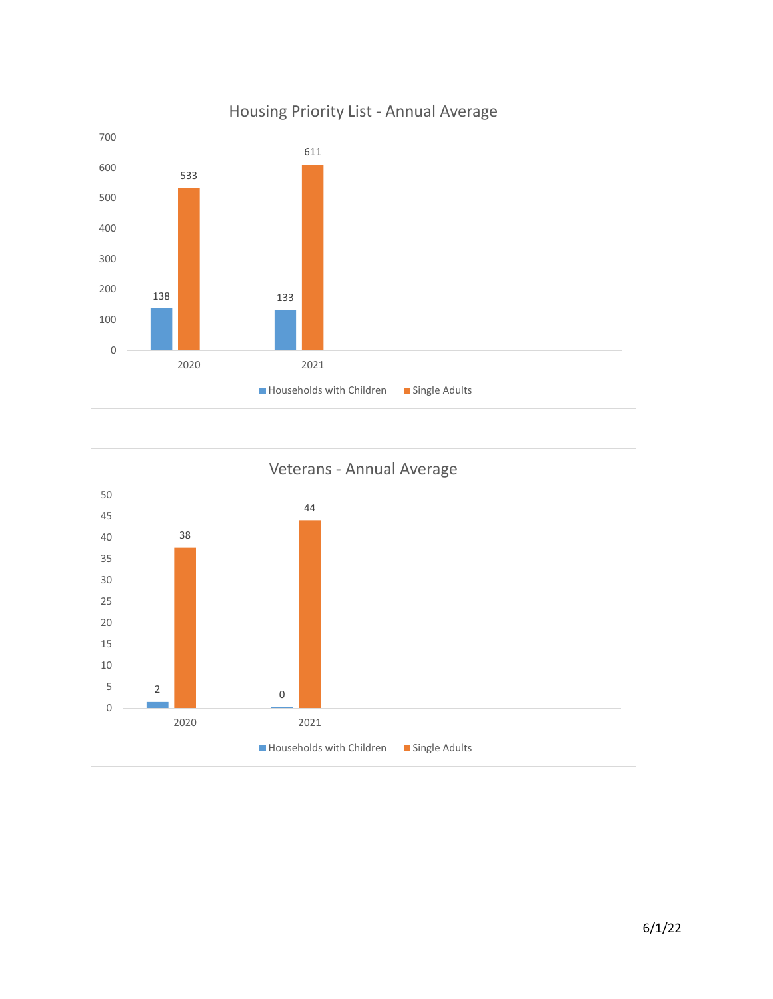